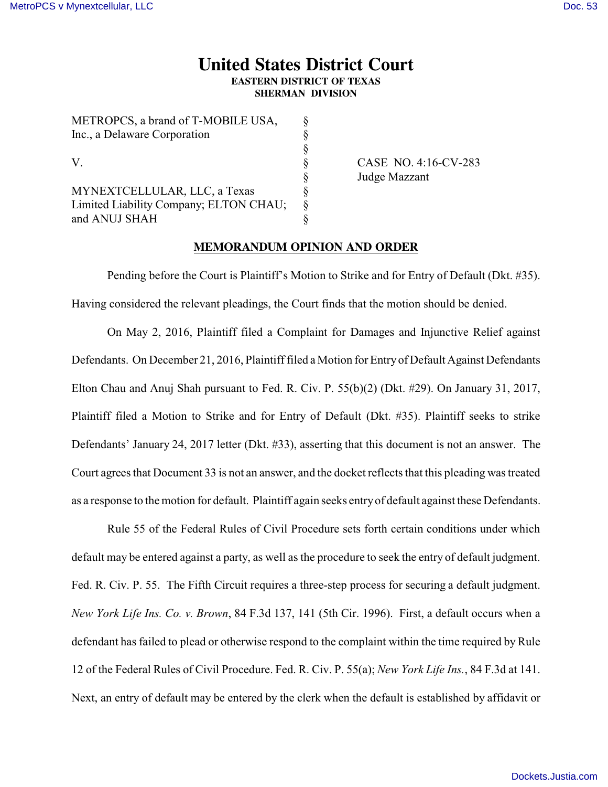## **United States District Court EASTERN DISTRICT OF TEXAS**

**SHERMAN DIVISION**

| METROPUS, a brand of T-MOBILE USA,     |    |
|----------------------------------------|----|
| Inc., a Delaware Corporation           | Ş  |
|                                        | Ş  |
| V.                                     | 8  |
|                                        | 8  |
| MYNEXTCELLULAR, LLC, a Texas           | 8  |
| Limited Liability Company; ELTON CHAU; | \$ |
| and ANUJ SHAH                          |    |
|                                        |    |

METROPOS, 1, 1 CTMOBILE USA

CASE NO. 4:16-CV-283 Judge Mazzant

## **MEMORANDUM OPINION AND ORDER**

Pending before the Court is Plaintiff's Motion to Strike and for Entry of Default (Dkt. #35). Having considered the relevant pleadings, the Court finds that the motion should be denied.

On May 2, 2016, Plaintiff filed a Complaint for Damages and Injunctive Relief against Defendants. On December 21, 2016, Plaintiff filed a Motion for Entry of Default Against Defendants Elton Chau and Anuj Shah pursuant to Fed. R. Civ. P. 55(b)(2) (Dkt. #29). On January 31, 2017, Plaintiff filed a Motion to Strike and for Entry of Default (Dkt. #35). Plaintiff seeks to strike Defendants' January 24, 2017 letter (Dkt. #33), asserting that this document is not an answer. The Court agrees that Document 33 is not an answer, and the docket reflects that this pleading was treated as a response to the motion for default. Plaintiff again seeks entry of default against these Defendants.

Rule 55 of the Federal Rules of Civil Procedure sets forth certain conditions under which default may be entered against a party, as well as the procedure to seek the entry of default judgment. Fed. R. Civ. P. 55. The Fifth Circuit requires a three-step process for securing a default judgment. *New York Life Ins. Co. v. Brown*, 84 F.3d 137, 141 (5th Cir. 1996). First, a default occurs when a defendant has failed to plead or otherwise respond to the complaint within the time required by Rule 12 of the Federal Rules of Civil Procedure. Fed. R. Civ. P. 55(a); *New York Life Ins.*, 84 F.3d at 141. Next, an entry of default may be entered by the clerk when the default is established by affidavit or